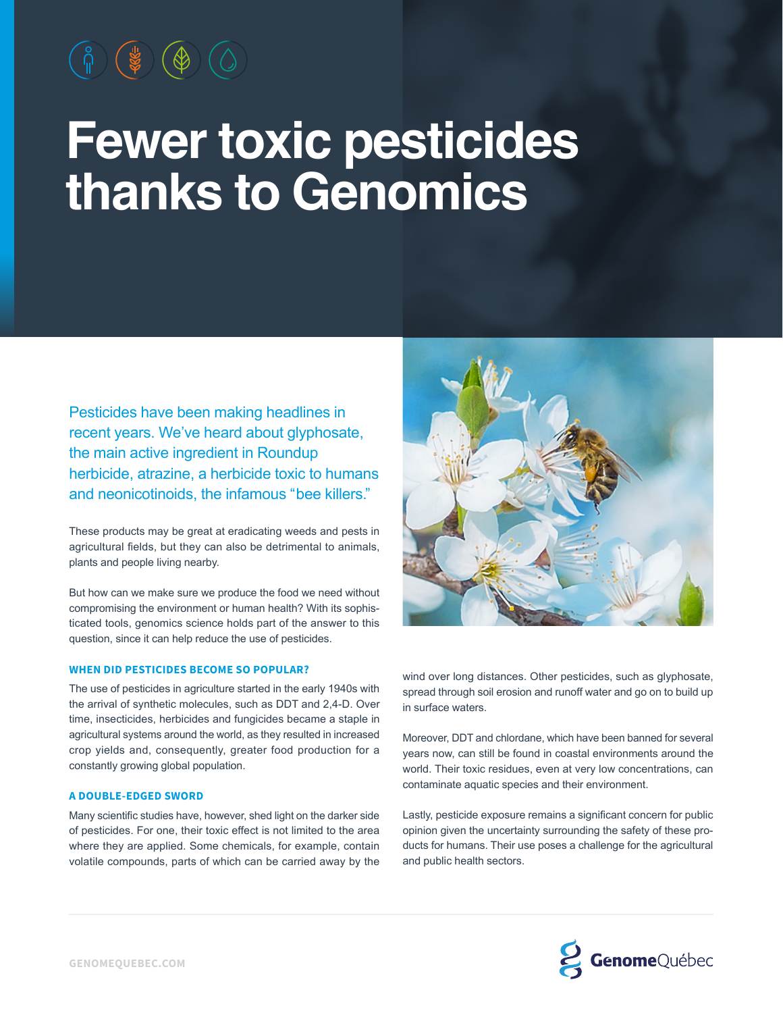# **Fewer toxic pesticides thanks to Genomics**

Pesticides have been making headlines in recent years. We've heard about glyphosate, the main active ingredient in Roundup herbicide, atrazine, a herbicide toxic to humans and neonicotinoids, the infamous " bee killers."

These products may be great at eradicating weeds and pests in agricultural fields, but they can also be detrimental to animals, plants and people living nearby.

But how can we make sure we produce the food we need without compromising the environment or human health? With its sophisticated tools, genomics science holds part of the answer to this question, since it can help reduce the use of pesticides.

# **WHEN DID PESTICIDES BECOME SO POPULAR?**

The use of pesticides in agriculture started in the early 1940s with the arrival of synthetic molecules, such as DDT and 2,4‑D. Over time, insecticides, herbicides and fungicides became a staple in agricultural systems around the world, as they resulted in increased crop yields and, consequently, greater food production for a constantly growing global population.

### **A DOUBLE-EDGED SWORD**

Many scientific studies have, however, shed light on the darker side of pesticides. For one, their toxic effect is not limited to the area where they are applied. Some chemicals, for example, contain volatile compounds, parts of which can be carried away by the



wind over long distances. Other pesticides, such as glyphosate, spread through soil erosion and runoff water and go on to build up in surface waters.

Moreover, DDT and chlordane, which have been banned for several years now, can still be found in coastal environments around the world. Their toxic residues, even at very low concentrations, can contaminate aquatic species and their environment.

Lastly, pesticide exposure remains a significant concern for public opinion given the uncertainty surrounding the safety of these products for humans. Their use poses a challenge for the agricultural and public health sectors.